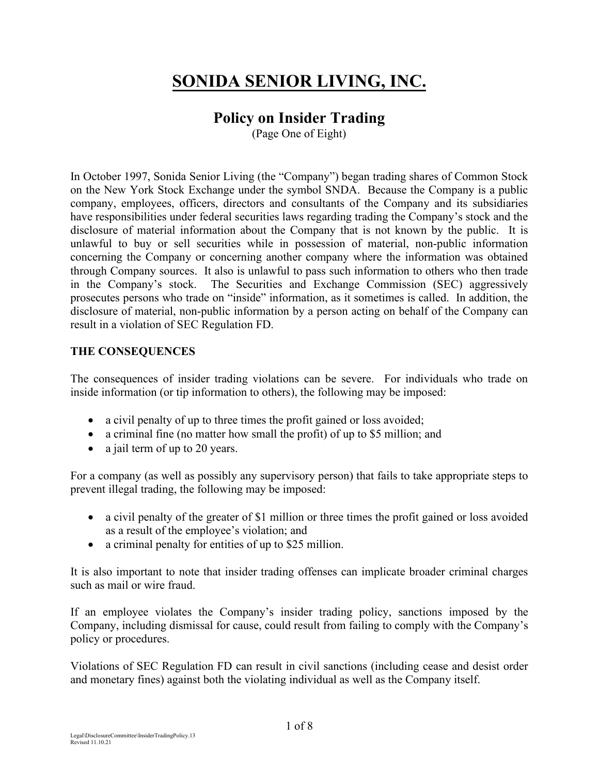# **SONIDA SENIOR LIVING, INC.**

# **Policy on Insider Trading**

(Page One of Eight)

In October 1997, Sonida Senior Living (the "Company") began trading shares of Common Stock on the New York Stock Exchange under the symbol SNDA. Because the Company is a public company, employees, officers, directors and consultants of the Company and its subsidiaries have responsibilities under federal securities laws regarding trading the Company's stock and the disclosure of material information about the Company that is not known by the public. It is unlawful to buy or sell securities while in possession of material, non-public information concerning the Company or concerning another company where the information was obtained through Company sources. It also is unlawful to pass such information to others who then trade in the Company's stock. The Securities and Exchange Commission (SEC) aggressively prosecutes persons who trade on "inside" information, as it sometimes is called. In addition, the disclosure of material, non-public information by a person acting on behalf of the Company can result in a violation of SEC Regulation FD.

#### **THE CONSEQUENCES**

The consequences of insider trading violations can be severe. For individuals who trade on inside information (or tip information to others), the following may be imposed:

- a civil penalty of up to three times the profit gained or loss avoided;
- a criminal fine (no matter how small the profit) of up to \$5 million; and
- a jail term of up to 20 years.

For a company (as well as possibly any supervisory person) that fails to take appropriate steps to prevent illegal trading, the following may be imposed:

- a civil penalty of the greater of \$1 million or three times the profit gained or loss avoided as a result of the employee's violation; and
- a criminal penalty for entities of up to \$25 million.

It is also important to note that insider trading offenses can implicate broader criminal charges such as mail or wire fraud.

If an employee violates the Company's insider trading policy, sanctions imposed by the Company, including dismissal for cause, could result from failing to comply with the Company's policy or procedures.

Violations of SEC Regulation FD can result in civil sanctions (including cease and desist order and monetary fines) against both the violating individual as well as the Company itself.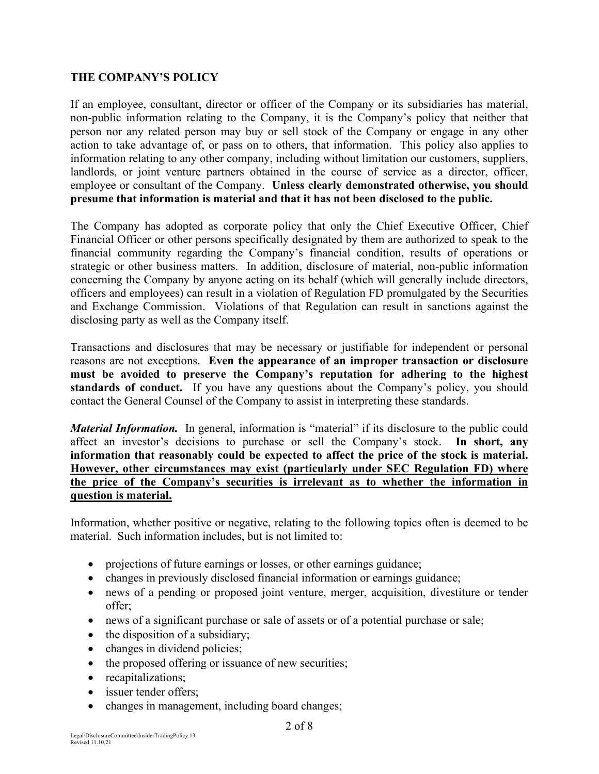#### **THE COMPANY'S POLICY**

If an employee, consultant, director or officer of the Company or its subsidiaries has material, non-public information relating to the Company, it is the Company's policy that neither that person nor any related person may buy or sell stock of the Company or engage in any other action to take advantage of, or pass on to others, that information. This policy also applies to information relating to any other company, including without limitation our customers, suppliers, landlords, or joint venture partners obtained in the course of service as a director, officer, employee or consultant of the Company. **Unless clearly demonstrated otherwise, you should presume that information is material and that it has not been disclosed to the public.**

The Company has adopted as corporate policy that only the Chief Executive Officer, Chief Financial Officer or other persons specifically designated by them are authorized to speak to the financial community regarding the Company's financial condition, results of operations or strategic or other business matters. In addition, disclosure of material, non-public information concerning the Company by anyone acting on its behalf (which will generally include directors, officers and employees) can result in a violation of Regulation FD promulgated by the Securities and Exchange Commission. Violations of that Regulation can result in sanctions against the disclosing party as well as the Company itself.

Transactions and disclosures that may be necessary or justifiable for independent or personal reasons are not exceptions. **Even the appearance of an improper transaction or disclosure must be avoided to preserve the Company's reputation for adhering to the highest**  standards of conduct. If you have any questions about the Company's policy, you should contact the General Counsel of the Company to assist in interpreting these standards.

*Material Information.* In general, information is "material" if its disclosure to the public could affect an investor's decisions to purchase or sell the Company's stock. **In short, any information that reasonably could be expected to affect the price of the stock is material. However, other circumstances may exist (particularly under SEC Regulation FD) where the price of the Company's securities is irrelevant as to whether the information in question is material.** 

Information, whether positive or negative, relating to the following topics often is deemed to be material. Such information includes, but is not limited to:

- projections of future earnings or losses, or other earnings guidance;
- changes in previously disclosed financial information or earnings guidance;
- news of a pending or proposed joint venture, merger, acquisition, divestiture or tender offer;
- news of a significant purchase or sale of assets or of a potential purchase or sale;
- the disposition of a subsidiary;
- changes in dividend policies;
- the proposed offering or issuance of new securities;
- recapitalizations;
- issuer tender offers;
- changes in management, including board changes;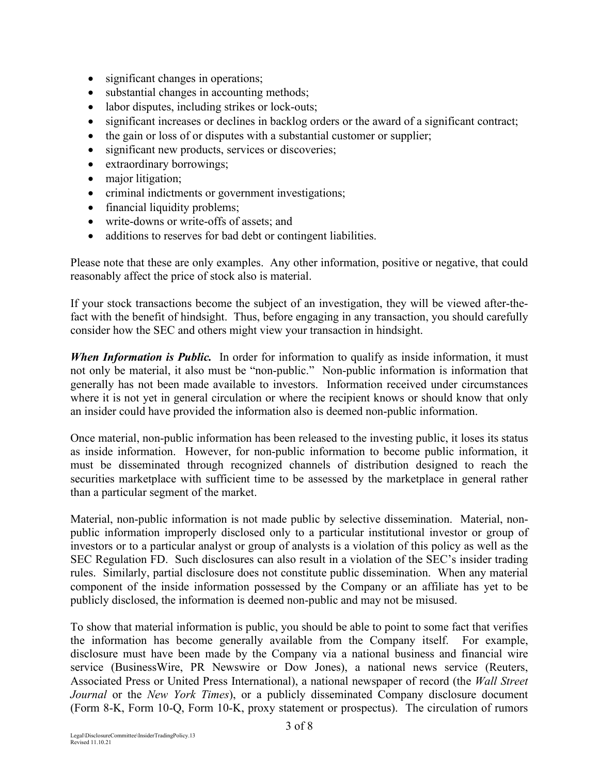- significant changes in operations;
- substantial changes in accounting methods;
- labor disputes, including strikes or lock-outs;
- significant increases or declines in backlog orders or the award of a significant contract;
- the gain or loss of or disputes with a substantial customer or supplier;
- significant new products, services or discoveries;
- extraordinary borrowings;
- major litigation;
- criminal indictments or government investigations;
- financial liquidity problems;
- write-downs or write-offs of assets; and
- additions to reserves for bad debt or contingent liabilities.

Please note that these are only examples. Any other information, positive or negative, that could reasonably affect the price of stock also is material.

If your stock transactions become the subject of an investigation, they will be viewed after-thefact with the benefit of hindsight. Thus, before engaging in any transaction, you should carefully consider how the SEC and others might view your transaction in hindsight.

*When Information is Public.* In order for information to qualify as inside information, it must not only be material, it also must be "non-public." Non-public information is information that generally has not been made available to investors. Information received under circumstances where it is not yet in general circulation or where the recipient knows or should know that only an insider could have provided the information also is deemed non-public information.

Once material, non-public information has been released to the investing public, it loses its status as inside information. However, for non-public information to become public information, it must be disseminated through recognized channels of distribution designed to reach the securities marketplace with sufficient time to be assessed by the marketplace in general rather than a particular segment of the market.

Material, non-public information is not made public by selective dissemination. Material, nonpublic information improperly disclosed only to a particular institutional investor or group of investors or to a particular analyst or group of analysts is a violation of this policy as well as the SEC Regulation FD. Such disclosures can also result in a violation of the SEC's insider trading rules. Similarly, partial disclosure does not constitute public dissemination. When any material component of the inside information possessed by the Company or an affiliate has yet to be publicly disclosed, the information is deemed non-public and may not be misused.

To show that material information is public, you should be able to point to some fact that verifies the information has become generally available from the Company itself. For example, disclosure must have been made by the Company via a national business and financial wire service (BusinessWire, PR Newswire or Dow Jones), a national news service (Reuters, Associated Press or United Press International), a national newspaper of record (the *Wall Street Journal* or the *New York Times*), or a publicly disseminated Company disclosure document (Form 8-K, Form 10-Q, Form 10-K, proxy statement or prospectus). The circulation of rumors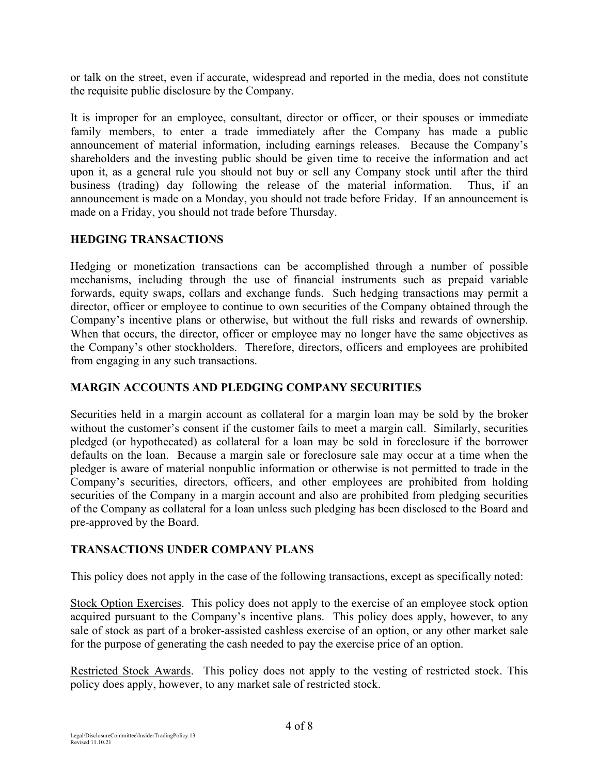or talk on the street, even if accurate, widespread and reported in the media, does not constitute the requisite public disclosure by the Company.

It is improper for an employee, consultant, director or officer, or their spouses or immediate family members, to enter a trade immediately after the Company has made a public announcement of material information, including earnings releases. Because the Company's shareholders and the investing public should be given time to receive the information and act upon it, as a general rule you should not buy or sell any Company stock until after the third business (trading) day following the release of the material information. Thus, if an announcement is made on a Monday, you should not trade before Friday. If an announcement is made on a Friday, you should not trade before Thursday.

#### **HEDGING TRANSACTIONS**

Hedging or monetization transactions can be accomplished through a number of possible mechanisms, including through the use of financial instruments such as prepaid variable forwards, equity swaps, collars and exchange funds. Such hedging transactions may permit a director, officer or employee to continue to own securities of the Company obtained through the Company's incentive plans or otherwise, but without the full risks and rewards of ownership. When that occurs, the director, officer or employee may no longer have the same objectives as the Company's other stockholders. Therefore, directors, officers and employees are prohibited from engaging in any such transactions.

## **MARGIN ACCOUNTS AND PLEDGING COMPANY SECURITIES**

Securities held in a margin account as collateral for a margin loan may be sold by the broker without the customer's consent if the customer fails to meet a margin call. Similarly, securities pledged (or hypothecated) as collateral for a loan may be sold in foreclosure if the borrower defaults on the loan. Because a margin sale or foreclosure sale may occur at a time when the pledger is aware of material nonpublic information or otherwise is not permitted to trade in the Company's securities, directors, officers, and other employees are prohibited from holding securities of the Company in a margin account and also are prohibited from pledging securities of the Company as collateral for a loan unless such pledging has been disclosed to the Board and pre-approved by the Board.

#### **TRANSACTIONS UNDER COMPANY PLANS**

This policy does not apply in the case of the following transactions, except as specifically noted:

Stock Option Exercises. This policy does not apply to the exercise of an employee stock option acquired pursuant to the Company's incentive plans. This policy does apply, however, to any sale of stock as part of a broker-assisted cashless exercise of an option, or any other market sale for the purpose of generating the cash needed to pay the exercise price of an option.

Restricted Stock Awards. This policy does not apply to the vesting of restricted stock. This policy does apply, however, to any market sale of restricted stock.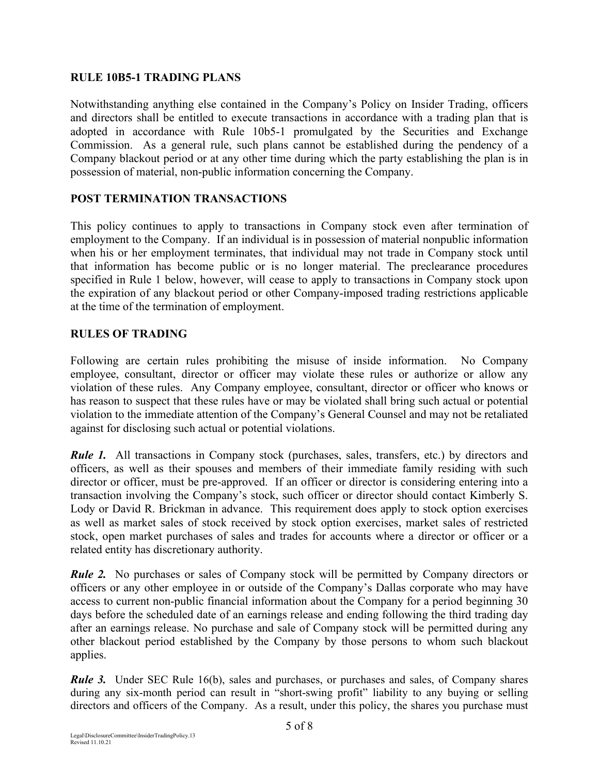## **RULE 10B5-1 TRADING PLANS**

Notwithstanding anything else contained in the Company's Policy on Insider Trading, officers and directors shall be entitled to execute transactions in accordance with a trading plan that is adopted in accordance with Rule 10b5-1 promulgated by the Securities and Exchange Commission. As a general rule, such plans cannot be established during the pendency of a Company blackout period or at any other time during which the party establishing the plan is in possession of material, non-public information concerning the Company.

# **POST TERMINATION TRANSACTIONS**

This policy continues to apply to transactions in Company stock even after termination of employment to the Company. If an individual is in possession of material nonpublic information when his or her employment terminates, that individual may not trade in Company stock until that information has become public or is no longer material. The preclearance procedures specified in Rule 1 below, however, will cease to apply to transactions in Company stock upon the expiration of any blackout period or other Company-imposed trading restrictions applicable at the time of the termination of employment.

# **RULES OF TRADING**

Following are certain rules prohibiting the misuse of inside information. No Company employee, consultant, director or officer may violate these rules or authorize or allow any violation of these rules. Any Company employee, consultant, director or officer who knows or has reason to suspect that these rules have or may be violated shall bring such actual or potential violation to the immediate attention of the Company's General Counsel and may not be retaliated against for disclosing such actual or potential violations.

*Rule 1.* All transactions in Company stock (purchases, sales, transfers, etc.) by directors and officers, as well as their spouses and members of their immediate family residing with such director or officer, must be pre-approved. If an officer or director is considering entering into a transaction involving the Company's stock, such officer or director should contact Kimberly S. Lody or David R. Brickman in advance. This requirement does apply to stock option exercises as well as market sales of stock received by stock option exercises, market sales of restricted stock, open market purchases of sales and trades for accounts where a director or officer or a related entity has discretionary authority.

*Rule 2.* No purchases or sales of Company stock will be permitted by Company directors or officers or any other employee in or outside of the Company's Dallas corporate who may have access to current non-public financial information about the Company for a period beginning 30 days before the scheduled date of an earnings release and ending following the third trading day after an earnings release. No purchase and sale of Company stock will be permitted during any other blackout period established by the Company by those persons to whom such blackout applies.

*Rule 3.* Under SEC Rule 16(b), sales and purchases, or purchases and sales, of Company shares during any six-month period can result in "short-swing profit" liability to any buying or selling directors and officers of the Company. As a result, under this policy, the shares you purchase must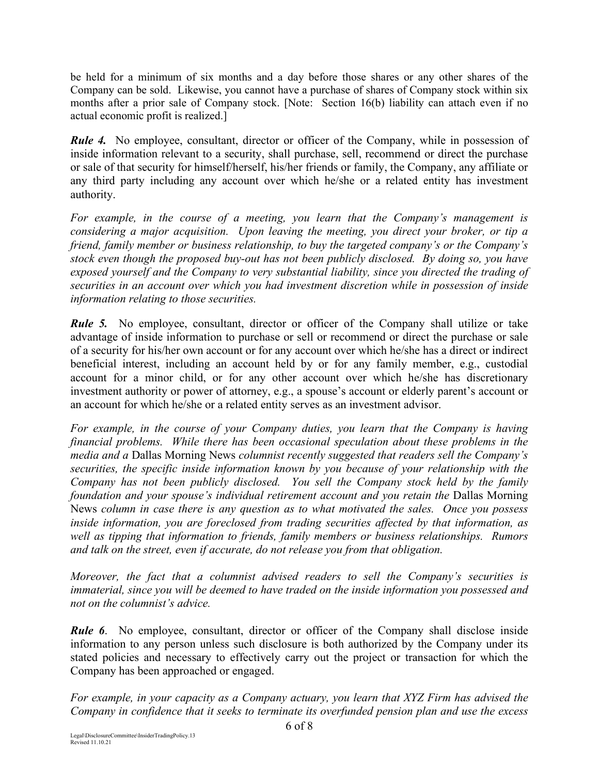be held for a minimum of six months and a day before those shares or any other shares of the Company can be sold. Likewise, you cannot have a purchase of shares of Company stock within six months after a prior sale of Company stock. [Note: Section 16(b) liability can attach even if no actual economic profit is realized.]

*Rule 4.* No employee, consultant, director or officer of the Company, while in possession of inside information relevant to a security, shall purchase, sell, recommend or direct the purchase or sale of that security for himself/herself, his/her friends or family, the Company, any affiliate or any third party including any account over which he/she or a related entity has investment authority.

*For example, in the course of a meeting, you learn that the Company's management is considering a major acquisition. Upon leaving the meeting, you direct your broker, or tip a friend, family member or business relationship, to buy the targeted company's or the Company's stock even though the proposed buy-out has not been publicly disclosed. By doing so, you have exposed yourself and the Company to very substantial liability, since you directed the trading of securities in an account over which you had investment discretion while in possession of inside information relating to those securities.*

*Rule 5.* No employee, consultant, director or officer of the Company shall utilize or take advantage of inside information to purchase or sell or recommend or direct the purchase or sale of a security for his/her own account or for any account over which he/she has a direct or indirect beneficial interest, including an account held by or for any family member, e.g., custodial account for a minor child, or for any other account over which he/she has discretionary investment authority or power of attorney, e.g., a spouse's account or elderly parent's account or an account for which he/she or a related entity serves as an investment advisor.

*For example, in the course of your Company duties, you learn that the Company is having financial problems. While there has been occasional speculation about these problems in the media and a* Dallas Morning News *columnist recently suggested that readers sell the Company's securities, the specific inside information known by you because of your relationship with the Company has not been publicly disclosed. You sell the Company stock held by the family foundation and your spouse's individual retirement account and you retain the Dallas Morning* News *column in case there is any question as to what motivated the sales. Once you possess inside information, you are foreclosed from trading securities affected by that information, as well as tipping that information to friends, family members or business relationships. Rumors and talk on the street, even if accurate, do not release you from that obligation.* 

*Moreover, the fact that a columnist advised readers to sell the Company's securities is immaterial, since you will be deemed to have traded on the inside information you possessed and not on the columnist's advice.* 

*Rule 6*. No employee, consultant, director or officer of the Company shall disclose inside information to any person unless such disclosure is both authorized by the Company under its stated policies and necessary to effectively carry out the project or transaction for which the Company has been approached or engaged.

*For example, in your capacity as a Company actuary, you learn that XYZ Firm has advised the Company in confidence that it seeks to terminate its overfunded pension plan and use the excess*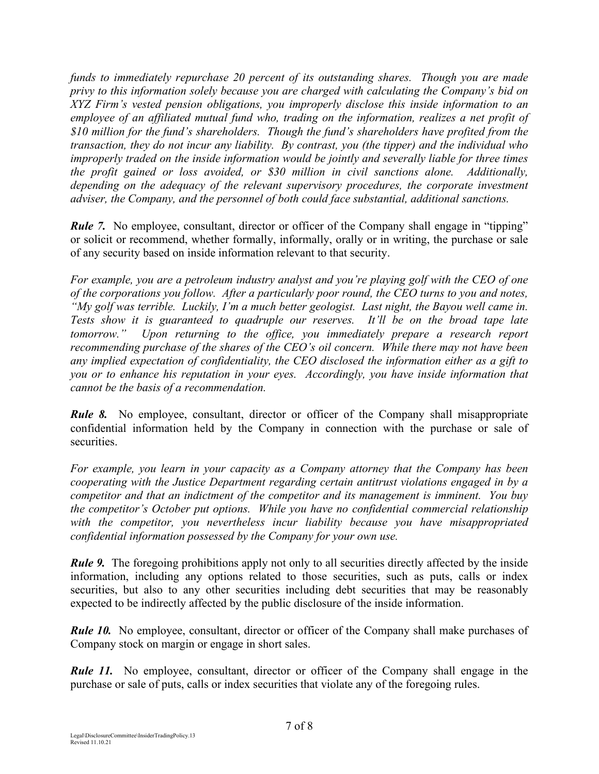*funds to immediately repurchase 20 percent of its outstanding shares. Though you are made privy to this information solely because you are charged with calculating the Company's bid on XYZ Firm's vested pension obligations, you improperly disclose this inside information to an employee of an affiliated mutual fund who, trading on the information, realizes a net profit of \$10 million for the fund's shareholders. Though the fund's shareholders have profited from the transaction, they do not incur any liability. By contrast, you (the tipper) and the individual who improperly traded on the inside information would be jointly and severally liable for three times the profit gained or loss avoided, or \$30 million in civil sanctions alone. Additionally, depending on the adequacy of the relevant supervisory procedures, the corporate investment adviser, the Company, and the personnel of both could face substantial, additional sanctions.* 

*Rule 7.* No employee, consultant, director or officer of the Company shall engage in "tipping" or solicit or recommend, whether formally, informally, orally or in writing, the purchase or sale of any security based on inside information relevant to that security.

*For example, you are a petroleum industry analyst and you're playing golf with the CEO of one of the corporations you follow. After a particularly poor round, the CEO turns to you and notes, "My golf was terrible. Luckily, I'm a much better geologist. Last night, the Bayou well came in. Tests show it is guaranteed to quadruple our reserves. It'll be on the broad tape late tomorrow." Upon returning to the office, you immediately prepare a research report recommending purchase of the shares of the CEO's oil concern. While there may not have been any implied expectation of confidentiality, the CEO disclosed the information either as a gift to you or to enhance his reputation in your eyes. Accordingly, you have inside information that cannot be the basis of a recommendation.* 

*Rule 8.* No employee, consultant, director or officer of the Company shall misappropriate confidential information held by the Company in connection with the purchase or sale of securities.

*For example, you learn in your capacity as a Company attorney that the Company has been cooperating with the Justice Department regarding certain antitrust violations engaged in by a competitor and that an indictment of the competitor and its management is imminent. You buy the competitor's October put options. While you have no confidential commercial relationship with the competitor, you nevertheless incur liability because you have misappropriated confidential information possessed by the Company for your own use.* 

*Rule 9.* The foregoing prohibitions apply not only to all securities directly affected by the inside information, including any options related to those securities, such as puts, calls or index securities, but also to any other securities including debt securities that may be reasonably expected to be indirectly affected by the public disclosure of the inside information.

*Rule 10.* No employee, consultant, director or officer of the Company shall make purchases of Company stock on margin or engage in short sales.

*Rule 11.* No employee, consultant, director or officer of the Company shall engage in the purchase or sale of puts, calls or index securities that violate any of the foregoing rules.